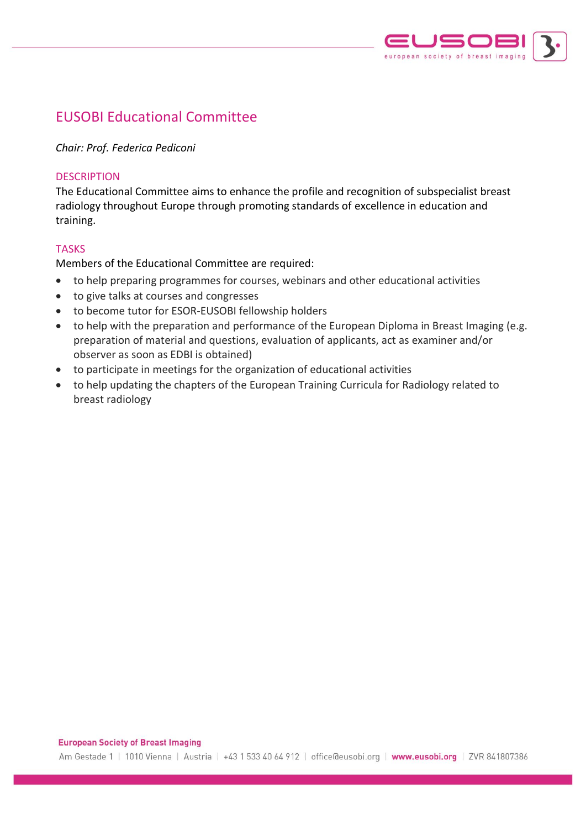

# EUSOBI Educational Committee

*Chair: Prof. Federica Pediconi*

## **DESCRIPTION**

The Educational Committee aims to enhance the profile and recognition of subspecialist breast radiology throughout Europe through promoting standards of excellence in education and training.

## **TASKS**

Members of the Educational Committee are required:

- to help preparing programmes for courses, webinars and other educational activities
- to give talks at courses and congresses
- to become tutor for ESOR-EUSOBI fellowship holders
- to help with the preparation and performance of the European Diploma in Breast Imaging (e.g. preparation of material and questions, evaluation of applicants, act as examiner and/or observer as soon as EDBI is obtained)
- to participate in meetings for the organization of educational activities
- to help updating the chapters of the European Training Curricula for Radiology related to breast radiology

#### **European Society of Breast Imaging**

Am Gestade 1 | 1010 Vienna | Austria | +43 1 533 40 64 912 | office@eusobi.org | www.eusobi.org | ZVR 841807386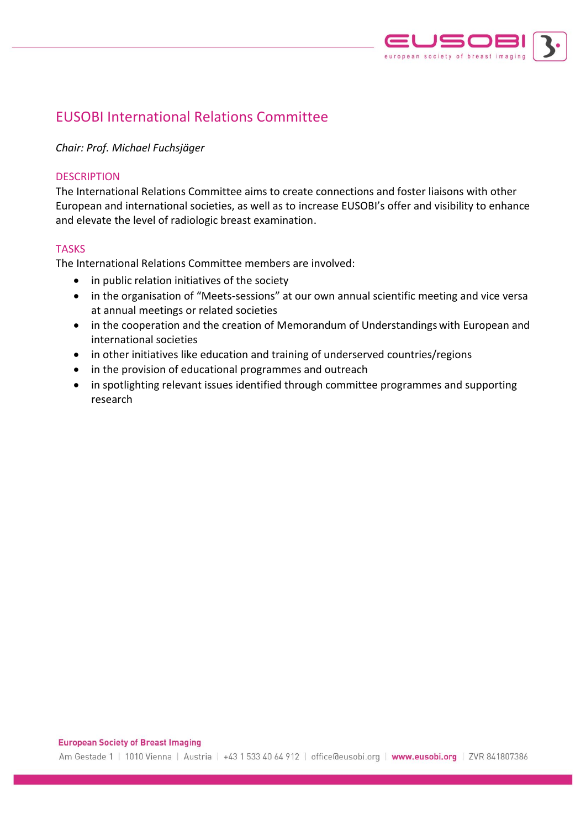

# EUSOBI International Relations Committee

## *Chair: Prof. Michael Fuchsjäger*

### **DESCRIPTION**

The International Relations Committee aims to create connections and foster liaisons with other European and international societies, as well as to increase EUSOBI's offer and visibility to enhance and elevate the level of radiologic breast examination.

### TASKS

The International Relations Committee members are involved:

- in public relation initiatives of the society
- in the organisation of "Meets-sessions" at our own annual scientific meeting and vice versa at annual meetings or related societies
- in the cooperation and the creation of Memorandum of Understandings with European and international societies
- in other initiatives like education and training of underserved countries/regions
- in the provision of educational programmes and outreach
- in spotlighting relevant issues identified through committee programmes and supporting research

#### **European Society of Breast Imaging**

Am Gestade 1 | 1010 Vienna | Austria | +43 1 533 40 64 912 | office@eusobi.org | www.eusobi.org | ZVR 841807386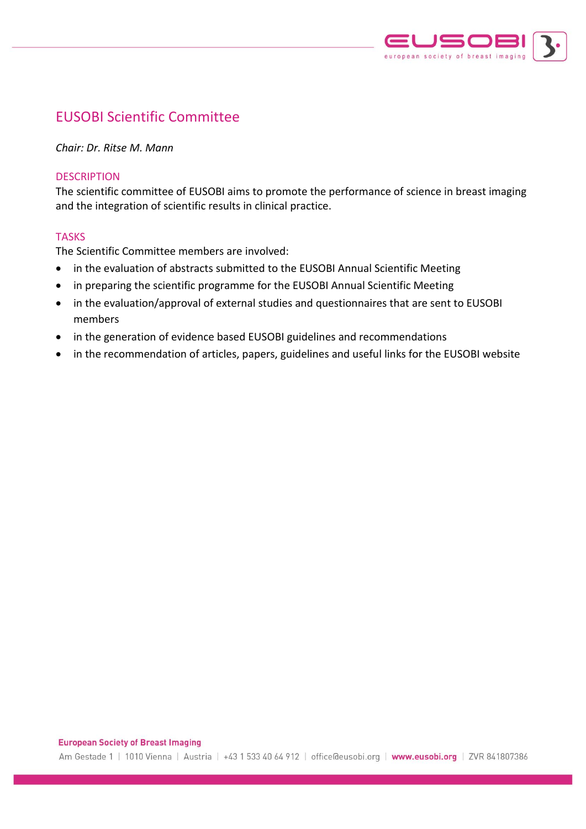

# EUSOBI Scientific Committee

*Chair: Dr. Ritse M. Mann*

### **DESCRIPTION**

The scientific committee of EUSOBI aims to promote the performance of science in breast imaging and the integration of scientific results in clinical practice.

### TASKS

The Scientific Committee members are involved:

- in the evaluation of abstracts submitted to the EUSOBI Annual Scientific Meeting
- in preparing the scientific programme for the EUSOBI Annual Scientific Meeting
- in the evaluation/approval of external studies and questionnaires that are sent to EUSOBI members
- in the generation of evidence based EUSOBI guidelines and recommendations
- in the recommendation of articles, papers, guidelines and useful links for the EUSOBI website

#### **European Society of Breast Imaging**